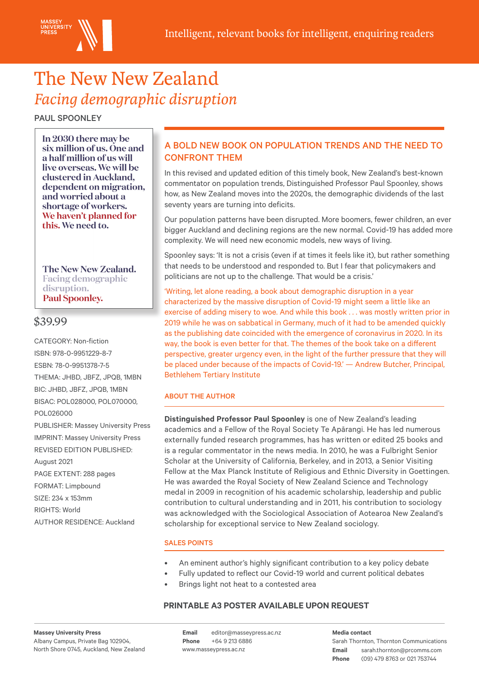

# The New New Zealand *Facing demographic disruption*

PAUL SPOONLEY

In 2030 there may be six million of us. One and a half million of us will live overseas. We will be clustered in Auckland, dependent on migration, and worried about a shortage of workers. We haven't planned for this. We need to.

The New New Zealand. **Facing demographic** disruption. **Paul Spoonley.** 

## \$39.99

CATEGORY: Non-fiction ISBN: 978-0-9951229-8-7 ESBN: 78-0-9951378-7-5 THEMA: JHBD, JBFZ, JPQB, 1MBN BIC: JHBD, JBFZ, JPQB, 1MBN BISAC: POL028000, POL070000, POL026000 PUBLISHER: Massey University Press IMPRINT: Massey University Press REVISED EDITION PUBLISHED: August 2021 PAGE EXTENT: 288 pages FORMAT: Limpbound SIZE: 234 x 153mm RIGHTS: World AUTHOR RESIDENCE: Auckland

## A BOLD NEW BOOK ON POPULATION TRENDS AND THE NEED TO CONFRONT THEM

In this revised and updated edition of this timely book, New Zealand's best-known commentator on population trends, Distinguished Professor Paul Spoonley, shows how, as New Zealand moves into the 2020s, the demographic dividends of the last seventy years are turning into deficits.

Our population patterns have been disrupted. More boomers, fewer children, an ever bigger Auckland and declining regions are the new normal. Covid-19 has added more complexity. We will need new economic models, new ways of living.

Spoonley says: 'It is not a crisis (even if at times it feels like it), but rather something that needs to be understood and responded to. But I fear that policymakers and politicians are not up to the challenge. That would be a crisis.'

'Writing, let alone reading, a book about demographic disruption in a year characterized by the massive disruption of Covid-19 might seem a little like an exercise of adding misery to woe. And while this book . . . was mostly written prior in 2019 while he was on sabbatical in Germany, much of it had to be amended quickly as the publishing date coincided with the emergence of coronavirus in 2020. In its way, the book is even better for that. The themes of the book take on a different perspective, greater urgency even, in the light of the further pressure that they will be placed under because of the impacts of Covid-19.' — Andrew Butcher, Principal, Bethlehem Tertiary Institute

### ABOUT THE AUTHOR

**Distinguished Professor Paul Spoonley** is one of New Zealand's leading academics and a Fellow of the Royal Society Te Apārangi. He has led numerous externally funded research programmes, has has written or edited 25 books and is a regular commentator in the news media. In 2010, he was a Fulbright Senior Scholar at the University of California, Berkeley, and in 2013, a Senior Visiting Fellow at the Max Planck Institute of Religious and Ethnic Diversity in Goettingen. He was awarded the Royal Society of New Zealand Science and Technology medal in 2009 in recognition of his academic scholarship, leadership and public contribution to cultural understanding and in 2011, his contribution to sociology was acknowledged with the Sociological Association of Aotearoa New Zealand's scholarship for exceptional service to New Zealand sociology.

#### SALES POINTS

- An eminent author's highly significant contribution to a key policy debate
	- Fully updated to reflect our Covid-19 world and current political debates
- Brings light not heat to a contested area

#### **PRINTABLE A3 POSTER AVAILABLE UPON REQUEST**

**Massey University Press** Albany Campus, Private Bag 102904, North Shore 0745, Auckland, New Zealand www.masseypress.ac.nz

**Email** editor@masseypress.ac.nz **Phone** +64 9 213 6886

**Email** sarah.thornton@prcomms.com **Phone** (09) 479 8763 or 021 753744 **Media contact** Sarah Thornton, Thornton Communications